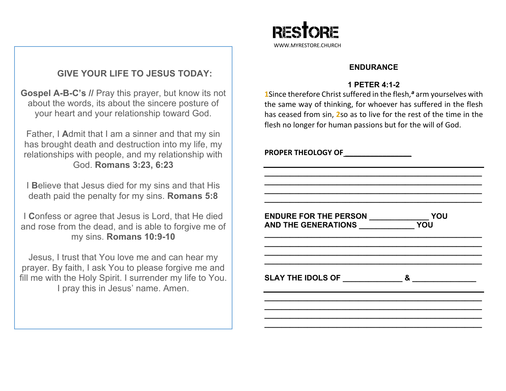# **GIVE YOUR LIFE TO JESUS TODAY:**

**Gospel A-B-C's //** Pray this prayer, but know its not about the words, its about the sincere posture of your heart and your relationship toward God.

Father, I **A**dmit that I am a sinner and that my sin has brought death and destruction into my life, my relationships with people, and my relationship with God. **Romans 3:23, 6:23**

I **B**elieve that Jesus died for my sins and that His death paid the penalty for my sins. **Romans 5:8**

I **C**onfess or agree that Jesus is Lord, that He died and rose from the dead, and is able to forgive me of my sins. **Romans 10:9-10**

Jesus, I trust that You love me and can hear my prayer. By faith, I ask You to please forgive me and fill me with the Holy Spirit. I surrender my life to You. I pray this in Jesus' name. Amen.



### **ENDURANCE**

## **1 PETER 4:1-2**

**1Since therefore Christ suffered in the flesh,<sup>a</sup> arm yourselves with** the same way of thinking, for whoever has suffered in the flesh has ceased from sin, **2**so as to live for the rest of the time in the flesh no longer for human passions but for the will of God.

| <b>PROPER THEOLOGY OF</b>                 |   |
|-------------------------------------------|---|
| AND THE GENERATIONS VOU                   |   |
|                                           |   |
| SLAY THE IDOLS OF THE THE REAL SERVICE OF | & |
|                                           |   |
|                                           |   |